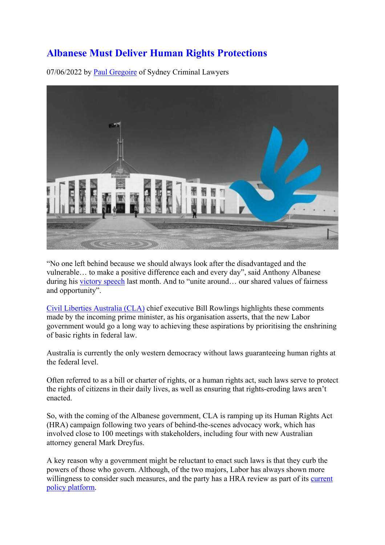### **Albanese Must Deliver Human Rights Protections**

07/06/2022 by Paul Gregoire of Sydney Criminal Lawyers



"No one left behind because we should always look after the disadvantaged and the vulnerable… to make a positive difference each and every day", said Anthony Albanese during his victory speech last month. And to "unite around… our shared values of fairness and opportunity".

Civil Liberties Australia (CLA) chief executive Bill Rowlings highlights these comments made by the incoming prime minister, as his organisation asserts, that the new Labor government would go a long way to achieving these aspirations by prioritising the enshrining of basic rights in federal law.

Australia is currently the only western democracy without laws guaranteeing human rights at the federal level.

Often referred to as a bill or charter of rights, or a human rights act, such laws serve to protect the rights of citizens in their daily lives, as well as ensuring that rights-eroding laws aren't enacted.

So, with the coming of the Albanese government, CLA is ramping up its Human Rights Act (HRA) campaign following two years of behind-the-scenes advocacy work, which has involved close to 100 meetings with stakeholders, including four with new Australian attorney general Mark Dreyfus.

A key reason why a government might be reluctant to enact such laws is that they curb the powers of those who govern. Although, of the two majors, Labor has always shown more willingness to consider such measures, and the party has a HRA review as part of its current policy platform.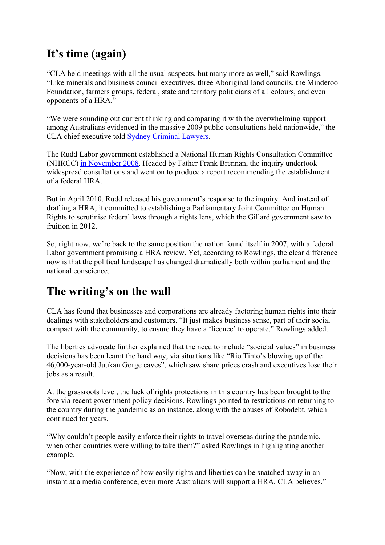# **It's time (again)**

"CLA held meetings with all the usual suspects, but many more as well," said Rowlings. "Like minerals and business council executives, three Aboriginal land councils, the Minderoo Foundation, farmers groups, federal, state and territory politicians of all colours, and even opponents of a HRA."

"We were sounding out current thinking and comparing it with the overwhelming support among Australians evidenced in the massive 2009 public consultations held nationwide," the CLA chief executive told Sydney Criminal Lawyers.

The Rudd Labor government established a National Human Rights Consultation Committee (NHRCC) in November 2008. Headed by Father Frank Brennan, the inquiry undertook widespread consultations and went on to produce a report recommending the establishment of a federal HRA.

But in April 2010, Rudd released his government's response to the inquiry. And instead of drafting a HRA, it committed to establishing a Parliamentary Joint Committee on Human Rights to scrutinise federal laws through a rights lens, which the Gillard government saw to fruition in 2012.

So, right now, we're back to the same position the nation found itself in 2007, with a federal Labor government promising a HRA review. Yet, according to Rowlings, the clear difference now is that the political landscape has changed dramatically both within parliament and the national conscience.

# **The writing's on the wall**

CLA has found that businesses and corporations are already factoring human rights into their dealings with stakeholders and customers. "It just makes business sense, part of their social compact with the community, to ensure they have a 'licence' to operate," Rowlings added.

The liberties advocate further explained that the need to include "societal values" in business decisions has been learnt the hard way, via situations like "Rio Tinto's blowing up of the 46,000-year-old Juukan Gorge caves", which saw share prices crash and executives lose their jobs as a result.

At the grassroots level, the lack of rights protections in this country has been brought to the fore via recent government policy decisions. Rowlings pointed to restrictions on returning to the country during the pandemic as an instance, along with the abuses of Robodebt, which continued for years.

"Why couldn't people easily enforce their rights to travel overseas during the pandemic, when other countries were willing to take them?" asked Rowlings in highlighting another example.

"Now, with the experience of how easily rights and liberties can be snatched away in an instant at a media conference, even more Australians will support a HRA, CLA believes."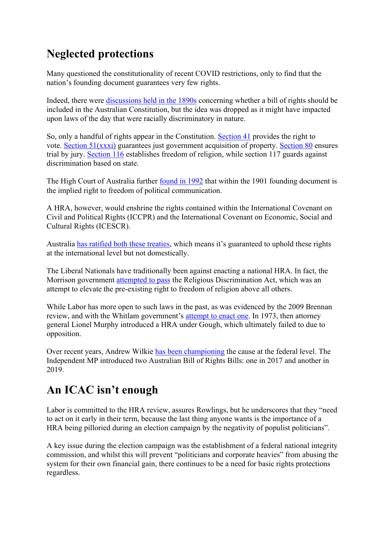# **Neglected protections**

Many questioned the constitutionality of recent COVID restrictions, only to find that the nation's founding document guarantees very few rights.

Indeed, there were discussions held in the 1890s concerning whether a bill of rights should be included in the Australian Constitution, but the idea was dropped as it might have impacted upon laws of the day that were racially discriminatory in nature.

So, only a handful of rights appear in the Constitution. Section 41 provides the right to vote. Section 51(xxxi) guarantees just government acquisition of property. Section 80 ensures trial by jury. Section 116 establishes freedom of religion, while section 117 guards against discrimination based on state.

The High Court of Australia further found in 1992 that within the 1901 founding document is the implied right to freedom of political communication.

A HRA, however, would enshrine the rights contained within the International Covenant on Civil and Political Rights (ICCPR) and the International Covenant on Economic, Social and Cultural Rights (ICESCR).

Australia has ratified both these treaties, which means it's guaranteed to uphold these rights at the international level but not domestically.

The Liberal Nationals have traditionally been against enacting a national HRA. In fact, the Morrison government attempted to pass the Religious Discrimination Act, which was an attempt to elevate the pre-existing right to freedom of religion above all others.

While Labor has more open to such laws in the past, as was evidenced by the 2009 Brennan review, and with the Whitlam government's attempt to enact one. In 1973, then attorney general Lionel Murphy introduced a HRA under Gough, which ultimately failed to due to opposition.

Over recent years, Andrew Wilkie has been championing the cause at the federal level. The Independent MP introduced two Australian Bill of Rights Bills: one in 2017 and another in 2019.

# **An ICAC isn't enough**

Labor is committed to the HRA review, assures Rowlings, but he underscores that they "need to act on it early in their term, because the last thing anyone wants is the importance of a HRA being pilloried during an election campaign by the negativity of populist politicians".

A key issue during the election campaign was the establishment of a federal national integrity commission, and whilst this will prevent "politicians and corporate heavies" from abusing the system for their own financial gain, there continues to be a need for basic rights protections regardless.